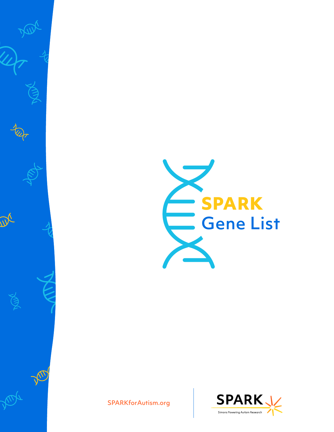

[SPARKforAutism.org](https://sparkforautism.org/)

 $\Delta$ 

VIDE

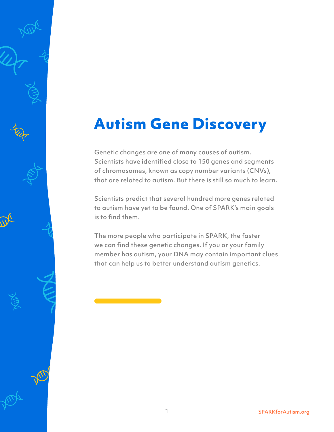## **Autism Gene Discovery**

Genetic changes are one of many causes of autism. Scientists have identified close to 150 genes and segments of chromosomes, known as copy number variants (CNVs), that are related to autism. But there is still so much to learn.

Scientists predict that several hundred more genes related to autism have yet to be found. One of SPARK's main goals is to find them.

The more people who participate in SPARK, the faster we can find these genetic changes. If you or your family member has autism, your DNA may contain important clues that can help us to better understand autism genetics.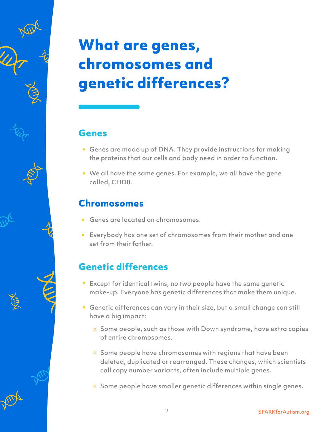# **What are genes, chromosomes and genetic differences?**

#### **Genes**

- Genes are made up of DNA. They provide instructions for making the proteins that our cells and body need in order to function.
- We all have the same genes. For example, we all have the gene called, CHD8.

#### **Chromosomes**

- Genes are located on chromosomes.
- Everybody has one set of chromosomes from their mother and one set from their father.

### **Genetic differences**

- Except for identical twins, no two people have the same genetic make-up. Everyone has genetic differences that make them unique.
- Genetic differences can vary in their size, but a small change can still have a big impact:
	- o Some people, such as those with Down syndrome, have extra copies of entire chromosomes.
	- **o** Some people have chromosomes with regions that have been deleted, duplicated or rearranged. These changes, which scientists call copy number variants, often include multiple genes.
	- o Some people have smaller genetic differences within single genes.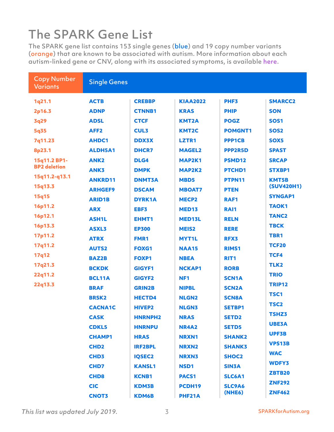## The SPARK Gene List

The SPARK gene list contains 153 single genes (blue) and 19 copy number variants (orange) that are known to be associated with autism. More information about each autism-linked gene or CNV, along with its associated symptoms, is availabl[e here.](https://www.genenames.org/) 

| <b>Copy Number</b><br><b>Variants</b> | <b>Single Genes</b> |                |                   |                  |                   |
|---------------------------------------|---------------------|----------------|-------------------|------------------|-------------------|
| 1q21.1                                | <b>ACTB</b>         | <b>CREBBP</b>  | <b>KIAA2022</b>   | PHF3             | <b>SMARCC2</b>    |
| 2p16.3                                | <b>ADNP</b>         | <b>CTNNB1</b>  | <b>KRAS</b>       | <b>PHIP</b>      | <b>SON</b>        |
| 3q29                                  | <b>ADSL</b>         | <b>CTCF</b>    | <b>KMT2A</b>      | <b>POGZ</b>      | <b>SOS1</b>       |
| 5q35                                  | AFF <sub>2</sub>    | <b>CUL3</b>    | <b>KMT2C</b>      | <b>POMGNT1</b>   | <b>SOS2</b>       |
| 7q11.23                               | <b>AHDC1</b>        | <b>DDX3X</b>   | <b>LZTR1</b>      | <b>PPP1CB</b>    | SOX5              |
| 8p23.1                                | <b>ALDH5A1</b>      | <b>DHCR7</b>   | <b>MAGEL2</b>     | <b>PPP2R5D</b>   | <b>SPAST</b>      |
| 15q11.2 BP1-                          | <b>ANK2</b>         | DLG4           | MAP2K1            | <b>PSMD12</b>    | <b>SRCAP</b>      |
| <b>BP2</b> deletion                   | ANK3                | <b>DMPK</b>    | <b>MAP2K2</b>     | <b>PTCHD1</b>    | <b>STXBP1</b>     |
| 15q11.2-q13.1                         | <b>ANKRD11</b>      | <b>DNMT3A</b>  | MBD5              | PTPN11           | <b>KMT5B</b>      |
| 15q13.3                               | <b>ARHGEF9</b>      | <b>DSCAM</b>   | <b>MBOAT7</b>     | <b>PTEN</b>      | <b>(SUV420H1)</b> |
| 15q15                                 | <b>ARID1B</b>       | <b>DYRK1A</b>  | <b>MECP2</b>      | <b>RAF1</b>      | <b>SYNGAP1</b>    |
| 16p11.2                               | <b>ARX</b>          | EBF3           | <b>MED13</b>      | RAI1             | <b>TAOK1</b>      |
| 16p12.1                               | <b>ASH1L</b>        | EHMT1          | MED13L            | <b>RELN</b>      | <b>TANC2</b>      |
| 16p13.3                               | <b>ASXL3</b>        | <b>EP300</b>   | MEIS <sub>2</sub> | <b>RERE</b>      | <b>TBCK</b>       |
| 17p11.2                               | <b>ATRX</b>         | <b>FMR1</b>    | <b>MYT1L</b>      | <b>RFX3</b>      | TBR1              |
| 17q11.2                               | <b>AUTS2</b>        | <b>FOXG1</b>   | <b>NAA15</b>      | <b>RIMS1</b>     | <b>TCF20</b>      |
| 17q12                                 | <b>BAZ2B</b>        | <b>FOXP1</b>   | <b>NBEA</b>       | RIT <sub>1</sub> | TCF4              |
| 17q21.3                               | <b>BCKDK</b>        | <b>GIGYF1</b>  | <b>NCKAP1</b>     | <b>RORB</b>      | TLK <sub>2</sub>  |
| 22q11.2                               | <b>BCL11A</b>       | <b>GIGYF2</b>  | NF <sub>1</sub>   | <b>SCN1A</b>     | <b>TRIO</b>       |
| 22q13.3                               | <b>BRAF</b>         | <b>GRIN2B</b>  | <b>NIPBL</b>      | <b>SCN2A</b>     | <b>TRIP12</b>     |
|                                       | <b>BRSK2</b>        | <b>HECTD4</b>  | <b>NLGN2</b>      | <b>SCN8A</b>     | TSC1              |
|                                       | <b>CACNA1C</b>      | <b>HIVEP2</b>  | <b>NLGN3</b>      | <b>SETBP1</b>    | <b>TSC2</b>       |
|                                       | <b>CASK</b>         | <b>HNRNPH2</b> | <b>NRAS</b>       | <b>SETD2</b>     | <b>TSHZ3</b>      |
|                                       | <b>CDKL5</b>        | <b>HNRNPU</b>  | <b>NR4A2</b>      | <b>SETD5</b>     | <b>UBE3A</b>      |
|                                       | <b>CHAMP1</b>       | <b>HRAS</b>    | <b>NRXN1</b>      | <b>SHANK2</b>    | <b>UPF3B</b>      |
|                                       | <b>CHD2</b>         | <b>IRF2BPL</b> | <b>NRXN2</b>      | <b>SHANK3</b>    | <b>VPS13B</b>     |
|                                       | <b>CHD3</b>         | <b>IQSEC2</b>  | <b>NRXN3</b>      | <b>SHOC2</b>     | <b>WAC</b>        |
|                                       | <b>CHD7</b>         | <b>KANSL1</b>  | NSD1              | <b>SIN3A</b>     | <b>WDFY3</b>      |
|                                       | <b>CHD8</b>         | <b>KCNB1</b>   | <b>PACS1</b>      | <b>SLC6A1</b>    | <b>ZBTB20</b>     |
|                                       | <b>CIC</b>          | <b>KDM3B</b>   | PCDH19            | <b>SLC9A6</b>    | <b>ZNF292</b>     |
|                                       | <b>CNOT3</b>        | <b>KDM6B</b>   | PHF21A            | <b>(NHE6)</b>    | <b>ZNF462</b>     |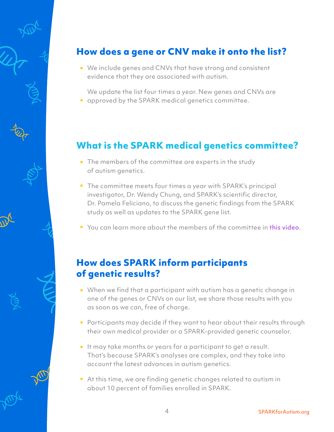

#### **How does a gene or CNV make it onto the list?**

We include genes and CNVs that have strong and consistent evidence that they are associated with autism.

We update the list four times a year. New genes and CNVs are approved by the SPARK medical genetics committee.

#### **What is the SPARK medical genetics committee?**

- The members of the committee are experts in the study of autism genetics.
- The committee meets four times a year with SPARK's principal investigator, Dr. Wendy Chung, and SPARK's scientific director, Dr. Pamela Feliciano, to discuss the genetic findings from the SPARK study as well as updates to the SPARK gene list.
- You can learn more about the members of the committee in this video.

#### **How does SPARK inform participants of genetic results?**

- When we find that a participant with autism has a genetic change in one of the genes or CNVs on our list, we share those results with you as soon as we can, free of charge.
- Participants may decide if they want to hear about their results through their own medical provider or a SPARK-provided genetic counselor.
- It may take months or years for a participant to get a result. That's because SPARK's analyses are complex, and they take into account the latest advances in autism genetics.
- At this time, we are finding genetic changes related to autism in about 10 percent of families enrolled in SPARK.